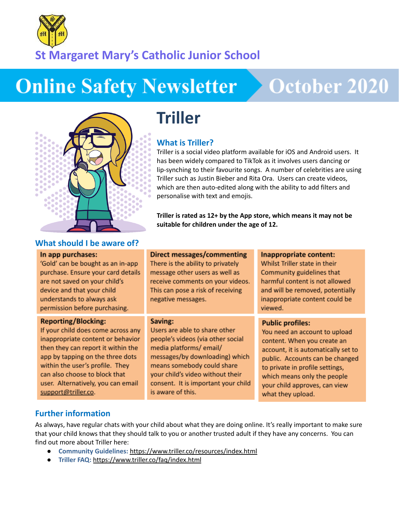

## **St Margaret Mary's Catholic Junior School**

# **Online Safety Newsletter**

# **October 2020**



#### **What should I be aware of?**

#### In app purchases:

'Gold' can be bought as an in-app purchase. Ensure your card details are not saved on your child's device and that your child understands to always ask permission before purchasing.

#### **Reporting/Blocking:**

If your child does come across any inappropriate content or behavior then they can report it within the app by tapping on the three dots within the user's profile. They can also choose to block that user. Alternatively, you can email support@triller.co.

## **Triller**

#### **What is Triller?**

Triller is a social video platform available for iOS and Android users. It has been widely compared to TikTok as it involves users dancing or lip-synching to their favourite songs. A number of celebrities are using Triller such as Justin Bieber and Rita Ora. Users can create videos, which are then auto-edited along with the ability to add filters and personalise with text and emojis.

**Triller is rated as 12+ by the App store, which means it may not be suitable for children under the age of 12.**

#### **Direct messages/commenting**

There is the ability to privately message other users as well as receive comments on your videos. This can pose a risk of receiving negative messages.

#### Saving:

Users are able to share other people's videos (via other social media platforms/email/ messages/by downloading) which means somebody could share your child's video without their consent. It is important your child is aware of this.

#### Inappropriate content:

Whilst Triller state in their Community guidelines that harmful content is not allowed and will be removed, potentially inappropriate content could be viewed.

#### **Public profiles:**

You need an account to upload content. When you create an account, it is automatically set to public. Accounts can be changed to private in profile settings, which means only the people your child approves, can view what they upload.

#### **Further information**

As always, have regular chats with your child about what they are doing online. It's really important to make sure that your child knows that they should talk to you or another trusted adult if they have any concerns. You can find out more about Triller here:

- **Community Guidelines:** <https://www.triller.co/resources/index.html>
- **Triller FAQ:** <https://www.triller.co/faq/index.html>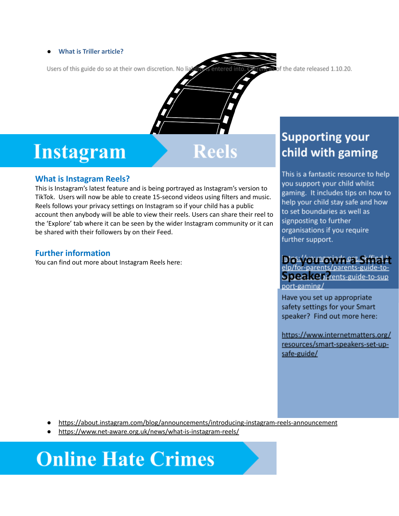#### ● **What is Triller article?**

Users of this guide do so at their own discretion. No lia of the date released 1.10.20.

## **What is Instagram Reels?**

This is Instagram's latest feature and is being portrayed as Instagram's version to TikTok. Users will now be able to create 15-second videos using filters and music. Reels follows your privacy settings on Instagram so if your child has a public account then anybody will be able to view their reels. Users can share their reel to the 'Explore' tab where it can be seen by the wider Instagram community or it can be shared with their followers by on their Feed.

**httagram** Reels

#### **Further information**

You can find out more about Instagram Reels here:

### **Supporting your** child with gaming

This is a fantastic resource to help you support your child whilst gaming. It includes tips on how to help your child stay safe and how to set boundaries as well as signposting to further organisations if you require further support.

#### <u>ntss://wunsminds.org</u> elp/for-parents/parents

Speake parents-guide-to-sup port-gaming/

Have you set up appropriate safety settings for your Smart speaker? Find out more here:

https://www.internetmatters.org/ resources/smart-speakers-set-upsafe-guide/

● <https://about.instagram.com/blog/announcements/introducing-instagram-reels-announcement>

<https://www.net-aware.org.uk/news/what-is-instagram-reels/>

# **Online Hate Crimes**